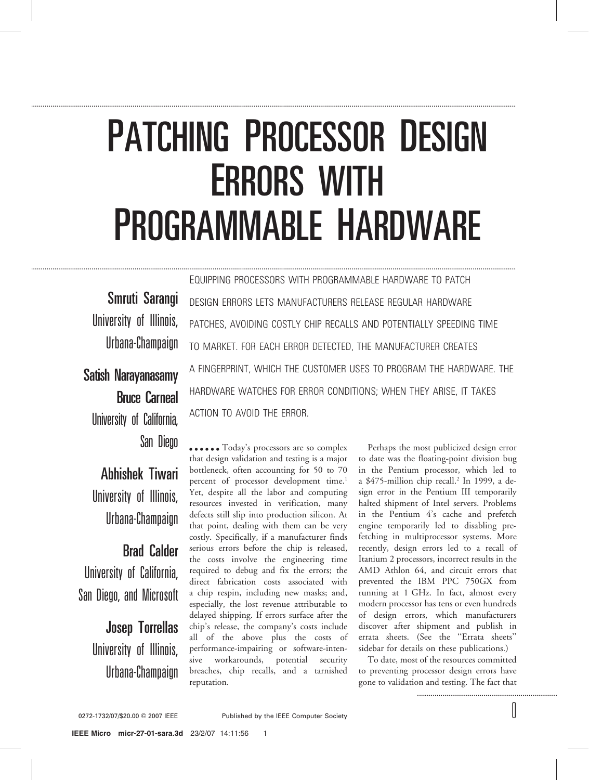# PATCHING PROCESSOR DESIGN ERRORS WITH PROGRAMMABLE HARDWARE

........................................................................................................................................................................................................................................................

........................................................................................................................................................................................................................................................

Smruti Sarangi University of Illinois, Urbana-Champaign Satish Narayanasamy Bruce Carneal

University of California, San Diego

Abhishek Tiwari University of Illinois, Urbana-Champaign

Brad Calder University of California, San Diego, and Microsoft

> Josep Torrellas University of Illinois, Urbana-Champaign

EQUIPPING PROCESSORS WITH PROGRAMMABLE HARDWARE TO PATCH DESIGN ERRORS LETS MANUFACTURERS RELEASE REGULAR HARDWARE PATCHES, AVOIDING COSTLY CHIP RECALLS AND POTENTIALLY SPEEDING TIME TO MARKET. FOR EACH ERROR DETECTED, THE MANUFACTURER CREATES A FINGERPRINT, WHICH THE CUSTOMER USES TO PROGRAM THE HARDWARE. THE HARDWARE WATCHES FOR ERROR CONDITIONS; WHEN THEY ARISE, IT TAKES ACTION TO AVOID THE ERROR.

......Today's processors are so complex that design validation and testing is a major bottleneck, often accounting for 50 to 70 percent of processor development time.<sup>1</sup> Yet, despite all the labor and computing resources invested in verification, many defects still slip into production silicon. At that point, dealing with them can be very costly. Specifically, if a manufacturer finds serious errors before the chip is released, the costs involve the engineering time required to debug and fix the errors; the direct fabrication costs associated with a chip respin, including new masks; and, especially, the lost revenue attributable to delayed shipping. If errors surface after the chip's release, the company's costs include all of the above plus the costs of performance-impairing or software-intensive workarounds, potential security breaches, chip recalls, and a tarnished reputation.

Perhaps the most publicized design error to date was the floating-point division bug in the Pentium processor, which led to a \$475-million chip recall.<sup>2</sup> In 1999, a design error in the Pentium III temporarily halted shipment of Intel servers. Problems in the Pentium 4's cache and prefetch engine temporarily led to disabling prefetching in multiprocessor systems. More recently, design errors led to a recall of Itanium 2 processors, incorrect results in the AMD Athlon 64, and circuit errors that prevented the IBM PPC 750GX from running at 1 GHz. In fact, almost every modern processor has tens or even hundreds of design errors, which manufacturers discover after shipment and publish in errata sheets. (See the ''Errata sheets'' sidebar for details on these publications.)

To date, most of the resources committed to preventing processor design errors have gone to validation and testing. The fact that

0272-1732/07/\$20.00 © 2007 IEEE Published by the IEEE Computer Society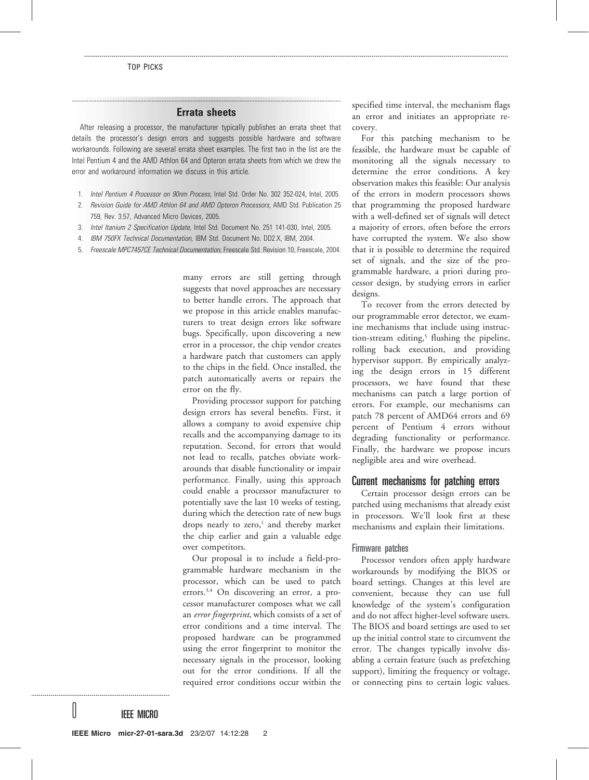#### TOP PICKS

# ..................................................................................................................................................................... Errata sheets

After releasing a processor, the manufacturer typically publishes an errata sheet that details the processor's design errors and suggests possible hardware and software workarounds. Following are several errata sheet examples. The first two in the list are the Intel Pentium 4 and the AMD Athlon 64 and Opteron errata sheets from which we drew the error and workaround information we discuss in this article.

- 1. Intel Pentium 4 Processor on 90nm Process, Intel Std. Order No. 302 352-024, Intel, 2005.
- 2. Revision Guide for AMD Athlon 64 and AMD Opteron Processors, AMD Std. Publication 25 759, Rev. 3.57, Advanced Micro Devices, 2005.
- 3. Intel Itanium 2 Specification Update, Intel Std. Document No. 251 141-030, Intel, 2005.
- IBM 750FX Technical Documentation, IBM Std. Document No. DD2.X, IBM, 2004.
- 5. Freescale MPC7457CE Technical Documentation, Freescale Std. Revision 10, Freescale, 2004.

many errors are still getting through suggests that novel approaches are necessary to better handle errors. The approach that we propose in this article enables manufacturers to treat design errors like software bugs. Specifically, upon discovering a new error in a processor, the chip vendor creates a hardware patch that customers can apply to the chips in the field. Once installed, the patch automatically averts or repairs the error on the fly.

.........................................................................................................................................................................................................................

Providing processor support for patching design errors has several benefits. First, it allows a company to avoid expensive chip recalls and the accompanying damage to its reputation. Second, for errors that would not lead to recalls, patches obviate workarounds that disable functionality or impair performance. Finally, using this approach could enable a processor manufacturer to potentially save the last 10 weeks of testing, during which the detection rate of new bugs drops nearly to zero, $\frac{1}{1}$  and thereby market the chip earlier and gain a valuable edge over competitors.

Our proposal is to include a field-programmable hardware mechanism in the processor, which can be used to patch errors.3,4 On discovering an error, a processor manufacturer composes what we call an error fingerprint, which consists of a set of error conditions and a time interval. The proposed hardware can be programmed using the error fingerprint to monitor the necessary signals in the processor, looking out for the error conditions. If all the required error conditions occur within the

specified time interval, the mechanism flags an error and initiates an appropriate recovery.

For this patching mechanism to be feasible, the hardware must be capable of monitoring all the signals necessary to determine the error conditions. A key observation makes this feasible: Our analysis of the errors in modern processors shows that programming the proposed hardware with a well-defined set of signals will detect a majority of errors, often before the errors have corrupted the system. We also show that it is possible to determine the required set of signals, and the size of the programmable hardware, a priori during processor design, by studying errors in earlier designs.

To recover from the errors detected by our programmable error detector, we examine mechanisms that include using instruction-stream editing,<sup>5</sup> flushing the pipeline, rolling back execution, and providing hypervisor support. By empirically analyzing the design errors in 15 different processors, we have found that these mechanisms can patch a large portion of errors. For example, our mechanisms can patch 78 percent of AMD64 errors and 69 percent of Pentium 4 errors without degrading functionality or performance. Finally, the hardware we propose incurs negligible area and wire overhead.

# Current mechanisms for patching errors

Certain processor design errors can be patched using mechanisms that already exist in processors. We'll look first at these mechanisms and explain their limitations.

#### Firmware patches

Processor vendors often apply hardware workarounds by modifying the BIOS or board settings. Changes at this level are convenient, because they can use full knowledge of the system's configuration and do not affect higher-level software users. The BIOS and board settings are used to set up the initial control state to circumvent the error. The changes typically involve disabling a certain feature (such as prefetching support), limiting the frequency or voltage, or connecting pins to certain logic values.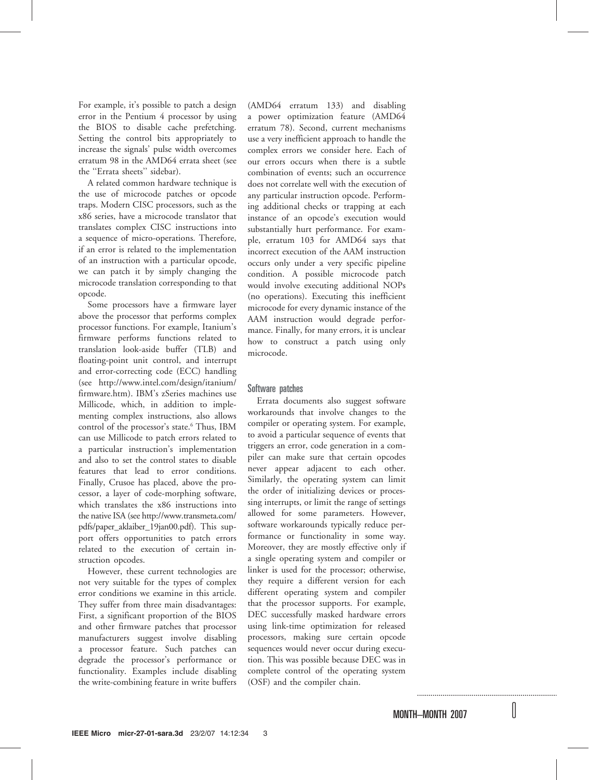For example, it's possible to patch a design error in the Pentium 4 processor by using the BIOS to disable cache prefetching. Setting the control bits appropriately to increase the signals' pulse width overcomes erratum 98 in the AMD64 errata sheet (see the ''Errata sheets'' sidebar).

A related common hardware technique is the use of microcode patches or opcode traps. Modern CISC processors, such as the x86 series, have a microcode translator that translates complex CISC instructions into a sequence of micro-operations. Therefore, if an error is related to the implementation of an instruction with a particular opcode, we can patch it by simply changing the microcode translation corresponding to that opcode.

Some processors have a firmware layer above the processor that performs complex processor functions. For example, Itanium's firmware performs functions related to translation look-aside buffer (TLB) and floating-point unit control, and interrupt and error-correcting code (ECC) handling (see http://www.intel.com/design/itanium/ firmware.htm). IBM's zSeries machines use Millicode, which, in addition to implementing complex instructions, also allows control of the processor's state.<sup>6</sup> Thus, IBM can use Millicode to patch errors related to a particular instruction's implementation and also to set the control states to disable features that lead to error conditions. Finally, Crusoe has placed, above the processor, a layer of code-morphing software, which translates the x86 instructions into the native ISA (see http://www.transmeta.com/ pdfs/paper\_aklaiber\_19jan00.pdf). This support offers opportunities to patch errors related to the execution of certain instruction opcodes.

However, these current technologies are not very suitable for the types of complex error conditions we examine in this article. They suffer from three main disadvantages: First, a significant proportion of the BIOS and other firmware patches that processor manufacturers suggest involve disabling a processor feature. Such patches can degrade the processor's performance or functionality. Examples include disabling the write-combining feature in write buffers (AMD64 erratum 133) and disabling a power optimization feature (AMD64 erratum 78). Second, current mechanisms use a very inefficient approach to handle the complex errors we consider here. Each of our errors occurs when there is a subtle combination of events; such an occurrence does not correlate well with the execution of any particular instruction opcode. Performing additional checks or trapping at each instance of an opcode's execution would substantially hurt performance. For example, erratum 103 for AMD64 says that incorrect execution of the AAM instruction occurs only under a very specific pipeline condition. A possible microcode patch would involve executing additional NOPs (no operations). Executing this inefficient microcode for every dynamic instance of the AAM instruction would degrade performance. Finally, for many errors, it is unclear how to construct a patch using only microcode.

#### Software patches

Errata documents also suggest software workarounds that involve changes to the compiler or operating system. For example, to avoid a particular sequence of events that triggers an error, code generation in a compiler can make sure that certain opcodes never appear adjacent to each other. Similarly, the operating system can limit the order of initializing devices or processing interrupts, or limit the range of settings allowed for some parameters. However, software workarounds typically reduce performance or functionality in some way. Moreover, they are mostly effective only if a single operating system and compiler or linker is used for the processor; otherwise, they require a different version for each different operating system and compiler that the processor supports. For example, DEC successfully masked hardware errors using link-time optimization for released processors, making sure certain opcode sequences would never occur during execution. This was possible because DEC was in complete control of the operating system (OSF) and the compiler chain.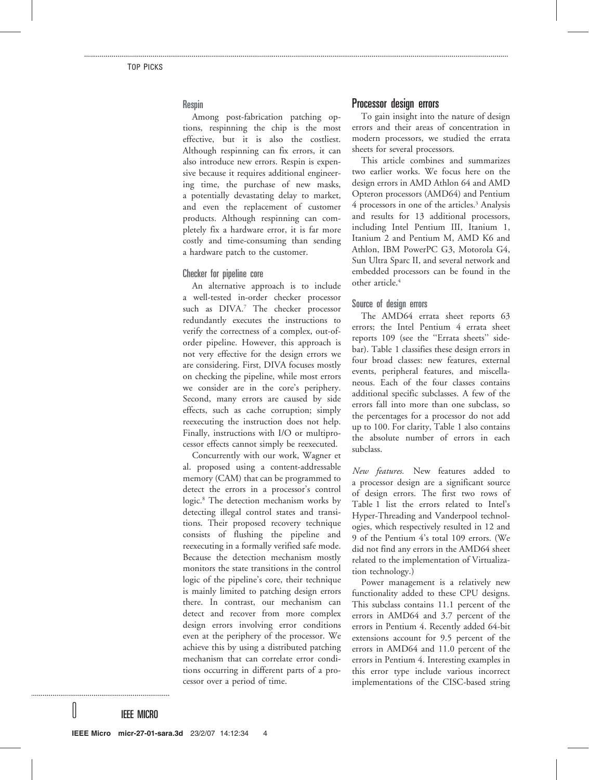#### Respin

Among post-fabrication patching options, respinning the chip is the most effective, but it is also the costliest. Although respinning can fix errors, it can also introduce new errors. Respin is expensive because it requires additional engineering time, the purchase of new masks, a potentially devastating delay to market, and even the replacement of customer products. Although respinning can completely fix a hardware error, it is far more costly and time-consuming than sending a hardware patch to the customer.

.........................................................................................................................................................................................................................

# Checker for pipeline core

An alternative approach is to include a well-tested in-order checker processor such as DIVA.<sup>7</sup> The checker processor redundantly executes the instructions to verify the correctness of a complex, out-oforder pipeline. However, this approach is not very effective for the design errors we are considering. First, DIVA focuses mostly on checking the pipeline, while most errors we consider are in the core's periphery. Second, many errors are caused by side effects, such as cache corruption; simply reexecuting the instruction does not help. Finally, instructions with I/O or multiprocessor effects cannot simply be reexecuted.

Concurrently with our work, Wagner et al. proposed using a content-addressable memory (CAM) that can be programmed to detect the errors in a processor's control logic.8 The detection mechanism works by detecting illegal control states and transitions. Their proposed recovery technique consists of flushing the pipeline and reexecuting in a formally verified safe mode. Because the detection mechanism mostly monitors the state transitions in the control logic of the pipeline's core, their technique is mainly limited to patching design errors there. In contrast, our mechanism can detect and recover from more complex design errors involving error conditions even at the periphery of the processor. We achieve this by using a distributed patching mechanism that can correlate error conditions occurring in different parts of a processor over a period of time.

# Processor design errors

To gain insight into the nature of design errors and their areas of concentration in modern processors, we studied the errata sheets for several processors.

This article combines and summarizes two earlier works. We focus here on the design errors in AMD Athlon 64 and AMD Opteron processors (AMD64) and Pentium 4 processors in one of the articles.3 Analysis and results for 13 additional processors, including Intel Pentium III, Itanium 1, Itanium 2 and Pentium M, AMD K6 and Athlon, IBM PowerPC G3, Motorola G4, Sun Ultra Sparc II, and several network and embedded processors can be found in the other article.<sup>4</sup>

## Source of design errors

The AMD64 errata sheet reports 63 errors; the Intel Pentium 4 errata sheet reports 109 (see the ''Errata sheets'' sidebar). Table 1 classifies these design errors in four broad classes: new features, external events, peripheral features, and miscellaneous. Each of the four classes contains additional specific subclasses. A few of the errors fall into more than one subclass, so the percentages for a processor do not add up to 100. For clarity, Table 1 also contains the absolute number of errors in each subclass.

New features. New features added to a processor design are a significant source of design errors. The first two rows of Table 1 list the errors related to Intel's Hyper-Threading and Vanderpool technologies, which respectively resulted in 12 and 9 of the Pentium 4's total 109 errors. (We did not find any errors in the AMD64 sheet related to the implementation of Virtualization technology.)

Power management is a relatively new functionality added to these CPU designs. This subclass contains 11.1 percent of the errors in AMD64 and 3.7 percent of the errors in Pentium 4. Recently added 64-bit extensions account for 9.5 percent of the errors in AMD64 and 11.0 percent of the errors in Pentium 4. Interesting examples in this error type include various incorrect implementations of the CISC-based string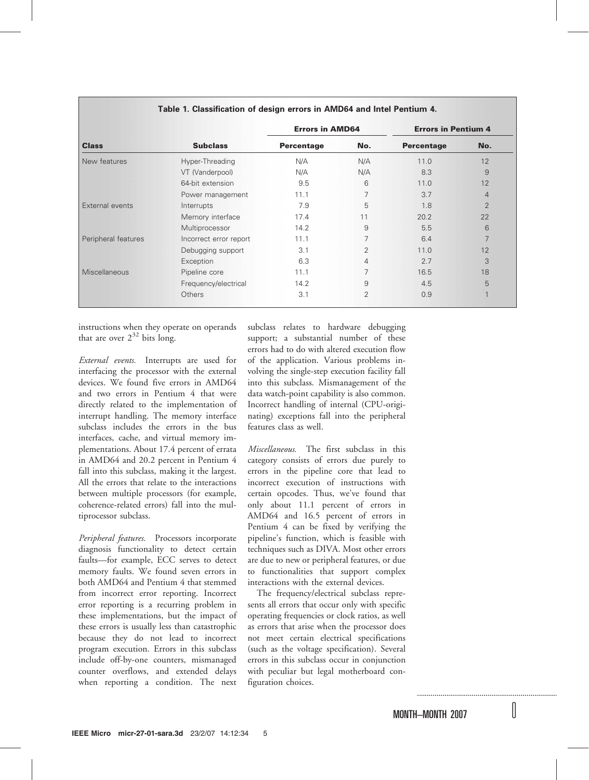| <b>Class</b>        | <b>Subclass</b>        | <b>Errors in AMD64</b> |                | <b>Errors in Pentium 4</b> |                |
|---------------------|------------------------|------------------------|----------------|----------------------------|----------------|
|                     |                        | <b>Percentage</b>      | No.            | <b>Percentage</b>          | No.            |
| New features        | Hyper-Threading        | N/A                    | N/A            | 11.0                       | 12             |
|                     | VT (Vanderpool)        | N/A                    | N/A            | 8.3                        | 9              |
|                     | 64-bit extension       | 9.5                    | 6              | 11.0                       | 12             |
|                     | Power management       | 11.1                   |                | 3.7                        | $\overline{4}$ |
| External events     | Interrupts             | 7.9                    | 5              | 1.8                        | $\overline{2}$ |
|                     | Memory interface       | 17.4                   | 11             | 20.2                       | 22             |
|                     | Multiprocessor         | 14.2                   | 9              | 5.5                        | 6              |
| Peripheral features | Incorrect error report | 11.1                   |                | 6.4                        | 7              |
|                     | Debugging support      | 3.1                    | $\overline{2}$ | 11.0                       | 12             |
|                     | Exception              | 6.3                    | 4              | 2.7                        | 3              |
| Miscellaneous       | Pipeline core          | 11.1                   |                | 16.5                       | 18             |
|                     | Frequency/electrical   | 14.2                   | 9              | 4.5                        | 5              |
|                     | <b>Others</b>          | 3.1                    | $\overline{2}$ | 0.9                        |                |

#### Table 1. Classification of design errors in AMD64 and Intel Pentium 4.

instructions when they operate on operands that are over  $2^{32}$  bits long.

External events. Interrupts are used for interfacing the processor with the external devices. We found five errors in AMD64 and two errors in Pentium 4 that were directly related to the implementation of interrupt handling. The memory interface subclass includes the errors in the bus interfaces, cache, and virtual memory implementations. About 17.4 percent of errata in AMD64 and 20.2 percent in Pentium 4 fall into this subclass, making it the largest. All the errors that relate to the interactions between multiple processors (for example, coherence-related errors) fall into the multiprocessor subclass.

Peripheral features. Processors incorporate diagnosis functionality to detect certain faults—for example, ECC serves to detect memory faults. We found seven errors in both AMD64 and Pentium 4 that stemmed from incorrect error reporting. Incorrect error reporting is a recurring problem in these implementations, but the impact of these errors is usually less than catastrophic because they do not lead to incorrect program execution. Errors in this subclass include off-by-one counters, mismanaged counter overflows, and extended delays when reporting a condition. The next

subclass relates to hardware debugging support; a substantial number of these errors had to do with altered execution flow of the application. Various problems involving the single-step execution facility fall into this subclass. Mismanagement of the data watch-point capability is also common. Incorrect handling of internal (CPU-originating) exceptions fall into the peripheral features class as well.

Miscellaneous. The first subclass in this category consists of errors due purely to errors in the pipeline core that lead to incorrect execution of instructions with certain opcodes. Thus, we've found that only about 11.1 percent of errors in AMD64 and 16.5 percent of errors in Pentium 4 can be fixed by verifying the pipeline's function, which is feasible with techniques such as DIVA. Most other errors are due to new or peripheral features, or due to functionalities that support complex interactions with the external devices.

The frequency/electrical subclass represents all errors that occur only with specific operating frequencies or clock ratios, as well as errors that arise when the processor does not meet certain electrical specifications (such as the voltage specification). Several errors in this subclass occur in conjunction with peculiar but legal motherboard configuration choices.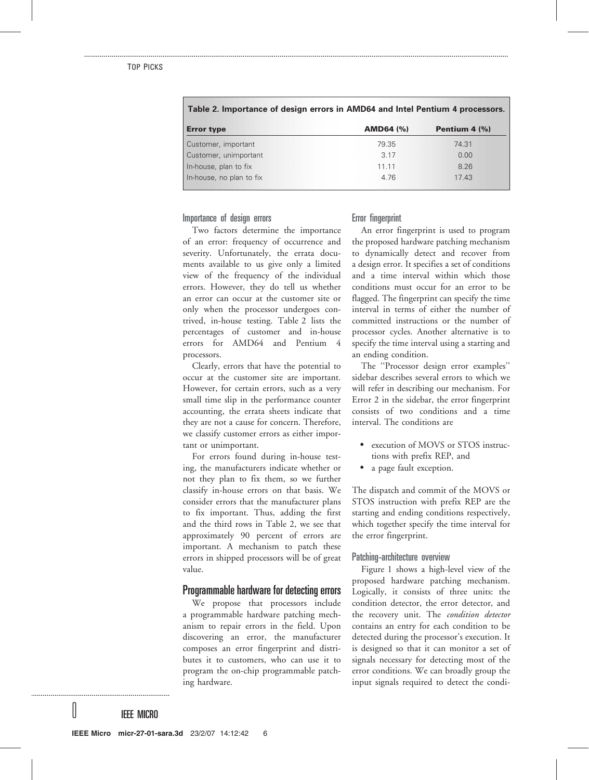|                          | Table 2. Importance of design errors in AMD64 and Intel Pentium 4 processors. |                 |  |
|--------------------------|-------------------------------------------------------------------------------|-----------------|--|
| <b>Error type</b>        | AMD64 (%)                                                                     | Pentium $4$ (%) |  |
| Customer, important      | 79.35                                                                         | 74.31           |  |
| Customer, unimportant    | 3.17                                                                          | 0.00            |  |
| In-house, plan to fix    | 11.11                                                                         | 8.26            |  |
| In-house, no plan to fix | 4.76                                                                          | 17.43           |  |

.........................................................................................................................................................................................................................

#### Importance of design errors

Two factors determine the importance of an error: frequency of occurrence and severity. Unfortunately, the errata documents available to us give only a limited view of the frequency of the individual errors. However, they do tell us whether an error can occur at the customer site or only when the processor undergoes contrived, in-house testing. Table 2 lists the percentages of customer and in-house errors for AMD64 and Pentium 4 processors.

Clearly, errors that have the potential to occur at the customer site are important. However, for certain errors, such as a very small time slip in the performance counter accounting, the errata sheets indicate that they are not a cause for concern. Therefore, we classify customer errors as either important or unimportant.

For errors found during in-house testing, the manufacturers indicate whether or not they plan to fix them, so we further classify in-house errors on that basis. We consider errors that the manufacturer plans to fix important. Thus, adding the first and the third rows in Table 2, we see that approximately 90 percent of errors are important. A mechanism to patch these errors in shipped processors will be of great value.

# Programmable hardware for detecting errors

We propose that processors include a programmable hardware patching mechanism to repair errors in the field. Upon discovering an error, the manufacturer composes an error fingerprint and distributes it to customers, who can use it to program the on-chip programmable patching hardware.

# Error fingerprint

An error fingerprint is used to program the proposed hardware patching mechanism to dynamically detect and recover from a design error. It specifies a set of conditions and a time interval within which those conditions must occur for an error to be flagged. The fingerprint can specify the time interval in terms of either the number of committed instructions or the number of processor cycles. Another alternative is to specify the time interval using a starting and an ending condition.

The ''Processor design error examples'' sidebar describes several errors to which we will refer in describing our mechanism. For Error 2 in the sidebar, the error fingerprint consists of two conditions and a time interval. The conditions are

- execution of MOVS or STOS instructions with prefix REP, and
- a page fault exception.

The dispatch and commit of the MOVS or STOS instruction with prefix REP are the starting and ending conditions respectively, which together specify the time interval for the error fingerprint.

# Patching-architecture overview

Figure 1 shows a high-level view of the proposed hardware patching mechanism. Logically, it consists of three units: the condition detector, the error detector, and the recovery unit. The condition detector contains an entry for each condition to be detected during the processor's execution. It is designed so that it can monitor a set of signals necessary for detecting most of the error conditions. We can broadly group the input signals required to detect the condi-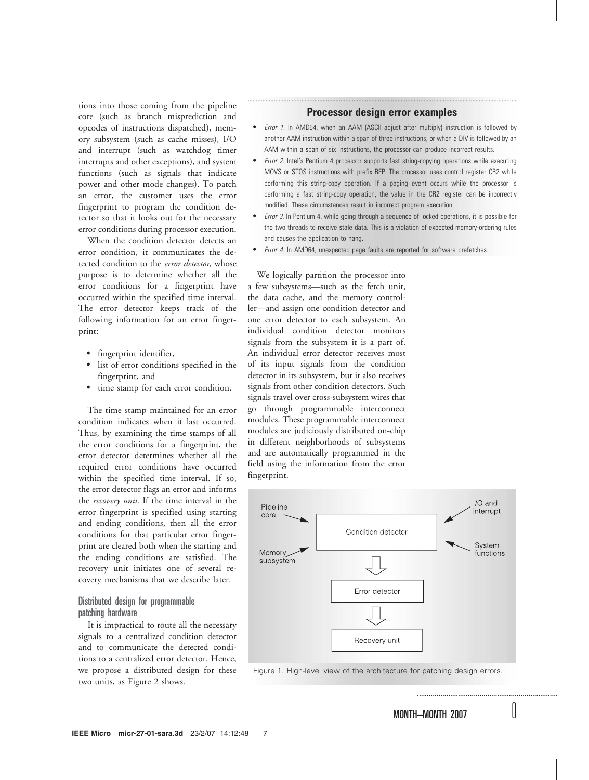tions into those coming from the pipeline core (such as branch misprediction and opcodes of instructions dispatched), memory subsystem (such as cache misses), I/O and interrupt (such as watchdog timer interrupts and other exceptions), and system functions (such as signals that indicate power and other mode changes). To patch an error, the customer uses the error fingerprint to program the condition detector so that it looks out for the necessary error conditions during processor execution.

When the condition detector detects an error condition, it communicates the detected condition to the error detector, whose purpose is to determine whether all the error conditions for a fingerprint have occurred within the specified time interval. The error detector keeps track of the following information for an error fingerprint:

- fingerprint identifier,
- list of error conditions specified in the fingerprint, and
- time stamp for each error condition.

The time stamp maintained for an error condition indicates when it last occurred. Thus, by examining the time stamps of all the error conditions for a fingerprint, the error detector determines whether all the required error conditions have occurred within the specified time interval. If so, the error detector flags an error and informs the recovery unit. If the time interval in the error fingerprint is specified using starting and ending conditions, then all the error conditions for that particular error fingerprint are cleared both when the starting and the ending conditions are satisfied. The recovery unit initiates one of several recovery mechanisms that we describe later.

# Distributed design for programmable patching hardware

It is impractical to route all the necessary signals to a centralized condition detector and to communicate the detected conditions to a centralized error detector. Hence, we propose a distributed design for these two units, as Figure 2 shows.

# ..................................................................................................................................................................... Processor design error examples

- Error 1. In AMD64, when an AAM (ASCII adjust after multiply) instruction is followed by another AAM instruction within a span of three instructions, or when a DIV is followed by an AAM within a span of six instructions, the processor can produce incorrect results.
- Error 2. Intel's Pentium 4 processor supports fast string-copying operations while executing MOVS or STOS instructions with prefix REP. The processor uses control register CR2 while performing this string-copy operation. If a paging event occurs while the processor is performing a fast string-copy operation, the value in the CR2 register can be incorrectly modified. These circumstances result in incorrect program execution.
- Error 3. In Pentium 4, while going through a sequence of locked operations, it is possible for the two threads to receive stale data. This is a violation of expected memory-ordering rules and causes the application to hang.
- Error 4. In AMD64, unexpected page faults are reported for software prefetches.

We logically partition the processor into a few subsystems—such as the fetch unit, the data cache, and the memory controller—and assign one condition detector and one error detector to each subsystem. An individual condition detector monitors signals from the subsystem it is a part of. An individual error detector receives most of its input signals from the condition detector in its subsystem, but it also receives signals from other condition detectors. Such signals travel over cross-subsystem wires that go through programmable interconnect modules. These programmable interconnect modules are judiciously distributed on-chip in different neighborhoods of subsystems and are automatically programmed in the field using the information from the error fingerprint.



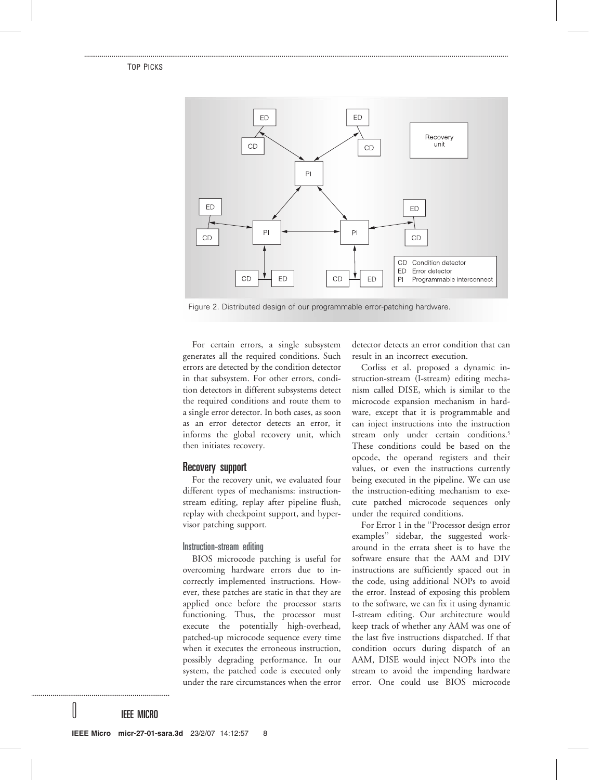

Figure 2. Distributed design of our programmable error-patching hardware.

.........................................................................................................................................................................................................................

For certain errors, a single subsystem generates all the required conditions. Such errors are detected by the condition detector in that subsystem. For other errors, condition detectors in different subsystems detect the required conditions and route them to a single error detector. In both cases, as soon as an error detector detects an error, it informs the global recovery unit, which then initiates recovery.

# Recovery support

For the recovery unit, we evaluated four different types of mechanisms: instructionstream editing, replay after pipeline flush, replay with checkpoint support, and hypervisor patching support.

#### Instruction-stream editing

BIOS microcode patching is useful for overcoming hardware errors due to incorrectly implemented instructions. However, these patches are static in that they are applied once before the processor starts functioning. Thus, the processor must execute the potentially high-overhead, patched-up microcode sequence every time when it executes the erroneous instruction, possibly degrading performance. In our system, the patched code is executed only under the rare circumstances when the error

detector detects an error condition that can result in an incorrect execution.

Corliss et al. proposed a dynamic instruction-stream (I-stream) editing mechanism called DISE, which is similar to the microcode expansion mechanism in hardware, except that it is programmable and can inject instructions into the instruction stream only under certain conditions.<sup>5</sup> These conditions could be based on the opcode, the operand registers and their values, or even the instructions currently being executed in the pipeline. We can use the instruction-editing mechanism to execute patched microcode sequences only under the required conditions.

For Error 1 in the ''Processor design error examples'' sidebar, the suggested workaround in the errata sheet is to have the software ensure that the AAM and DIV instructions are sufficiently spaced out in the code, using additional NOPs to avoid the error. Instead of exposing this problem to the software, we can fix it using dynamic I-stream editing. Our architecture would keep track of whether any AAM was one of the last five instructions dispatched. If that condition occurs during dispatch of an AAM, DISE would inject NOPs into the stream to avoid the impending hardware error. One could use BIOS microcode

 $\Box$  IEEE MICRO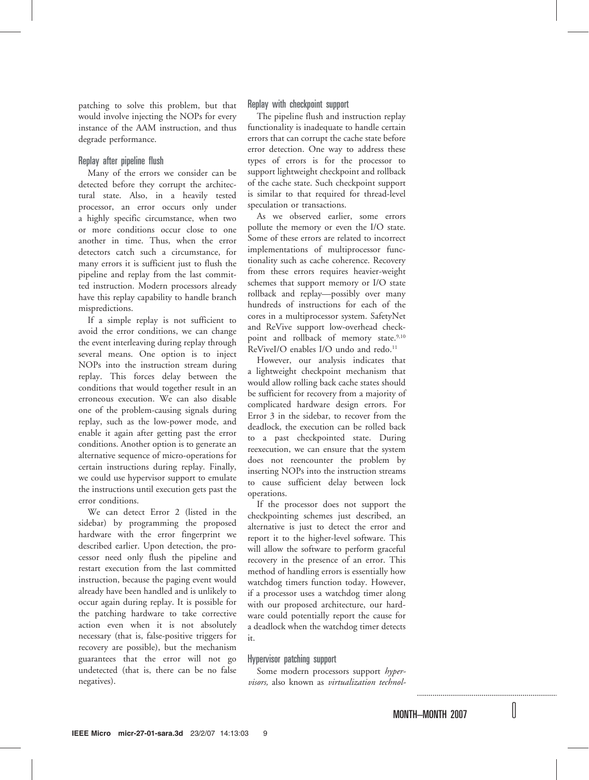patching to solve this problem, but that would involve injecting the NOPs for every instance of the AAM instruction, and thus degrade performance.

# Replay after pipeline flush

Many of the errors we consider can be detected before they corrupt the architectural state. Also, in a heavily tested processor, an error occurs only under a highly specific circumstance, when two or more conditions occur close to one another in time. Thus, when the error detectors catch such a circumstance, for many errors it is sufficient just to flush the pipeline and replay from the last committed instruction. Modern processors already have this replay capability to handle branch mispredictions.

If a simple replay is not sufficient to avoid the error conditions, we can change the event interleaving during replay through several means. One option is to inject NOPs into the instruction stream during replay. This forces delay between the conditions that would together result in an erroneous execution. We can also disable one of the problem-causing signals during replay, such as the low-power mode, and enable it again after getting past the error conditions. Another option is to generate an alternative sequence of micro-operations for certain instructions during replay. Finally, we could use hypervisor support to emulate the instructions until execution gets past the error conditions.

We can detect Error 2 (listed in the sidebar) by programming the proposed hardware with the error fingerprint we described earlier. Upon detection, the processor need only flush the pipeline and restart execution from the last committed instruction, because the paging event would already have been handled and is unlikely to occur again during replay. It is possible for the patching hardware to take corrective action even when it is not absolutely necessary (that is, false-positive triggers for recovery are possible), but the mechanism guarantees that the error will not go undetected (that is, there can be no false negatives).

# Replay with checkpoint support

The pipeline flush and instruction replay functionality is inadequate to handle certain errors that can corrupt the cache state before error detection. One way to address these types of errors is for the processor to support lightweight checkpoint and rollback of the cache state. Such checkpoint support is similar to that required for thread-level speculation or transactions.

As we observed earlier, some errors pollute the memory or even the I/O state. Some of these errors are related to incorrect implementations of multiprocessor functionality such as cache coherence. Recovery from these errors requires heavier-weight schemes that support memory or I/O state rollback and replay—possibly over many hundreds of instructions for each of the cores in a multiprocessor system. SafetyNet and ReVive support low-overhead checkpoint and rollback of memory state.<sup>9,10</sup> ReViveI/O enables I/O undo and redo.<sup>11</sup>

However, our analysis indicates that a lightweight checkpoint mechanism that would allow rolling back cache states should be sufficient for recovery from a majority of complicated hardware design errors. For Error 3 in the sidebar, to recover from the deadlock, the execution can be rolled back to a past checkpointed state. During reexecution, we can ensure that the system does not reencounter the problem by inserting NOPs into the instruction streams to cause sufficient delay between lock operations.

If the processor does not support the checkpointing schemes just described, an alternative is just to detect the error and report it to the higher-level software. This will allow the software to perform graceful recovery in the presence of an error. This method of handling errors is essentially how watchdog timers function today. However, if a processor uses a watchdog timer along with our proposed architecture, our hardware could potentially report the cause for a deadlock when the watchdog timer detects it.

#### Hypervisor patching support

Some modern processors support hypervisors, also known as virtualization technol-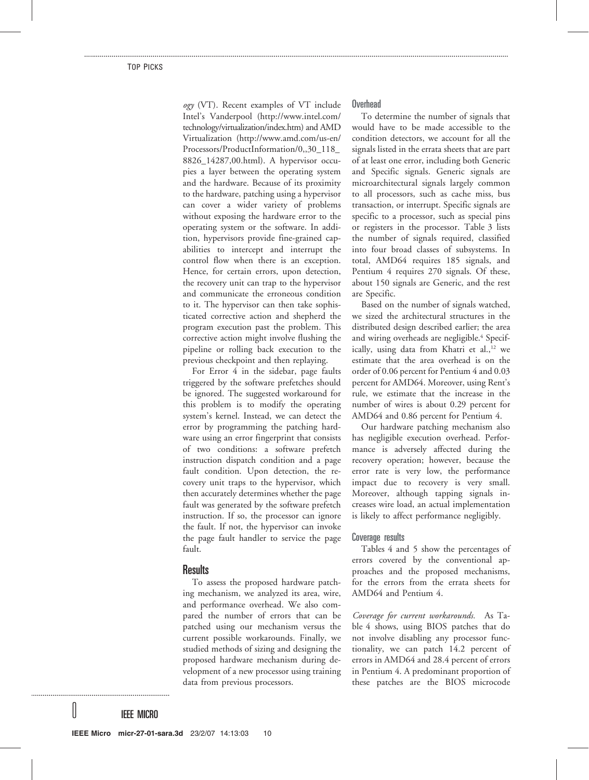ogy (VT). Recent examples of VT include Intel's Vanderpool (http://www.intel.com/ technology/virtualization/index.htm) and AMD Virtualization (http://www.amd.com/us-en/ Processors/ProductInformation/0,,30\_118\_ 8826\_14287,00.html). A hypervisor occupies a layer between the operating system and the hardware. Because of its proximity to the hardware, patching using a hypervisor can cover a wider variety of problems without exposing the hardware error to the operating system or the software. In addition, hypervisors provide fine-grained capabilities to intercept and interrupt the control flow when there is an exception. Hence, for certain errors, upon detection, the recovery unit can trap to the hypervisor and communicate the erroneous condition to it. The hypervisor can then take sophisticated corrective action and shepherd the program execution past the problem. This corrective action might involve flushing the pipeline or rolling back execution to the previous checkpoint and then replaying.

.........................................................................................................................................................................................................................

For Error 4 in the sidebar, page faults triggered by the software prefetches should be ignored. The suggested workaround for this problem is to modify the operating system's kernel. Instead, we can detect the error by programming the patching hardware using an error fingerprint that consists of two conditions: a software prefetch instruction dispatch condition and a page fault condition. Upon detection, the recovery unit traps to the hypervisor, which then accurately determines whether the page fault was generated by the software prefetch instruction. If so, the processor can ignore the fault. If not, the hypervisor can invoke the page fault handler to service the page fault.

# **Results**

To assess the proposed hardware patching mechanism, we analyzed its area, wire, and performance overhead. We also compared the number of errors that can be patched using our mechanism versus the current possible workarounds. Finally, we studied methods of sizing and designing the proposed hardware mechanism during development of a new processor using training data from previous processors.

# **Overhead**

To determine the number of signals that would have to be made accessible to the condition detectors, we account for all the signals listed in the errata sheets that are part of at least one error, including both Generic and Specific signals. Generic signals are microarchitectural signals largely common to all processors, such as cache miss, bus transaction, or interrupt. Specific signals are specific to a processor, such as special pins or registers in the processor. Table 3 lists the number of signals required, classified into four broad classes of subsystems. In total, AMD64 requires 185 signals, and Pentium 4 requires 270 signals. Of these, about 150 signals are Generic, and the rest are Specific.

Based on the number of signals watched, we sized the architectural structures in the distributed design described earlier; the area and wiring overheads are negligible.<sup>4</sup> Specifically, using data from Khatri et al.,<sup>12</sup> we estimate that the area overhead is on the order of 0.06 percent for Pentium 4 and 0.03 percent for AMD64. Moreover, using Rent's rule, we estimate that the increase in the number of wires is about 0.29 percent for AMD64 and 0.86 percent for Pentium 4.

Our hardware patching mechanism also has negligible execution overhead. Performance is adversely affected during the recovery operation; however, because the error rate is very low, the performance impact due to recovery is very small. Moreover, although tapping signals increases wire load, an actual implementation is likely to affect performance negligibly.

#### Coverage results

Tables 4 and 5 show the percentages of errors covered by the conventional approaches and the proposed mechanisms, for the errors from the errata sheets for AMD64 and Pentium 4.

Coverage for current workarounds. As Table 4 shows, using BIOS patches that do not involve disabling any processor functionality, we can patch 14.2 percent of errors in AMD64 and 28.4 percent of errors in Pentium 4. A predominant proportion of these patches are the BIOS microcode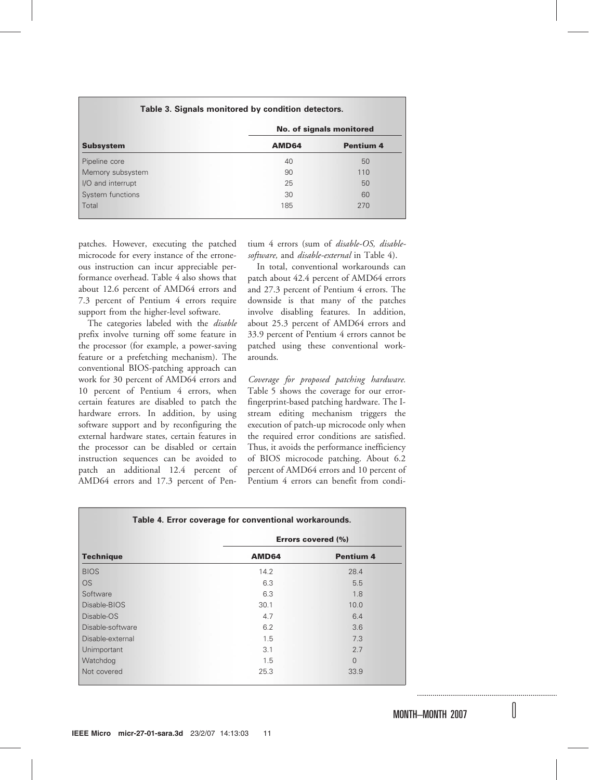|                   |              | <b>No. of signals monitored</b> |  |  |
|-------------------|--------------|---------------------------------|--|--|
| <b>Subsystem</b>  | <b>AMD64</b> | <b>Pentium 4</b>                |  |  |
| Pipeline core     | 40           | 50                              |  |  |
| Memory subsystem  | 90           | 110                             |  |  |
| I/O and interrupt | 25           | 50                              |  |  |
| System functions  | 30           | 60                              |  |  |
| Total             | 185          | 270                             |  |  |

patches. However, executing the patched microcode for every instance of the erroneous instruction can incur appreciable performance overhead. Table 4 also shows that about 12.6 percent of AMD64 errors and 7.3 percent of Pentium 4 errors require support from the higher-level software.

The categories labeled with the disable prefix involve turning off some feature in the processor (for example, a power-saving feature or a prefetching mechanism). The conventional BIOS-patching approach can work for 30 percent of AMD64 errors and 10 percent of Pentium 4 errors, when certain features are disabled to patch the hardware errors. In addition, by using software support and by reconfiguring the external hardware states, certain features in the processor can be disabled or certain instruction sequences can be avoided to patch an additional 12.4 percent of AMD64 errors and 17.3 percent of Pentium 4 errors (sum of disable-OS, disablesoftware, and *disable-external* in Table 4).

In total, conventional workarounds can patch about 42.4 percent of AMD64 errors and 27.3 percent of Pentium 4 errors. The downside is that many of the patches involve disabling features. In addition, about 25.3 percent of AMD64 errors and 33.9 percent of Pentium 4 errors cannot be patched using these conventional workarounds.

Coverage for proposed patching hardware. Table 5 shows the coverage for our errorfingerprint-based patching hardware. The Istream editing mechanism triggers the execution of patch-up microcode only when the required error conditions are satisfied. Thus, it avoids the performance inefficiency of BIOS microcode patching. About 6.2 percent of AMD64 errors and 10 percent of Pentium 4 errors can benefit from condi-

|                  | Table 4. Error coverage for conventional workarounds. |                  |  |  |
|------------------|-------------------------------------------------------|------------------|--|--|
|                  | Errors covered (%)                                    |                  |  |  |
| <b>Technique</b> | <b>AMD64</b>                                          | <b>Pentium 4</b> |  |  |
| <b>BIOS</b>      | 14.2                                                  | 28.4             |  |  |
| <b>OS</b>        | 6.3                                                   | 5.5              |  |  |
| Software         | 6.3                                                   | 1.8              |  |  |
| Disable-BIOS     | 30.1                                                  | 10.0             |  |  |
| Disable-OS       | 4.7                                                   | 6.4              |  |  |
| Disable-software | 6.2                                                   | 3.6              |  |  |
| Disable-external | 1.5                                                   | 7.3              |  |  |
| Unimportant      | 3.1                                                   | 2.7              |  |  |
| Watchdog         | 1.5                                                   | $\Omega$         |  |  |
| Not covered      | 25.3                                                  | 33.9             |  |  |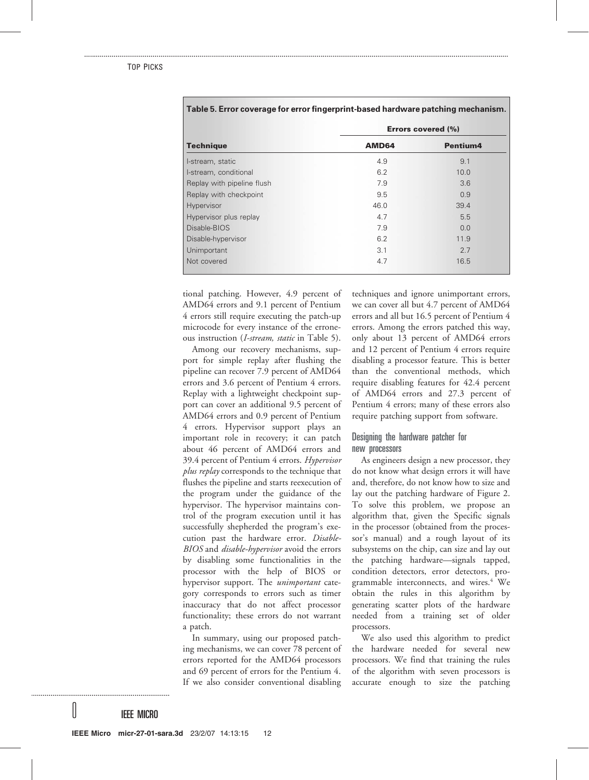|                            | Errors covered (%) |          |  |
|----------------------------|--------------------|----------|--|
| <b>Technique</b>           | AMD64              | Pentium4 |  |
| I-stream, static           | 4.9                | 9.1      |  |
| I-stream, conditional      | 6.2                | 10.0     |  |
| Replay with pipeline flush | 7.9                | 3.6      |  |
| Replay with checkpoint     | 9.5                | 0.9      |  |
| Hypervisor                 | 46.0               | 39.4     |  |
| Hypervisor plus replay     | 4.7                | 5.5      |  |
| Disable-BIOS               | 7.9                | 0.0      |  |
| Disable-hypervisor         | 6.2                | 11.9     |  |
| Unimportant                | 3.1                | 2.7      |  |
| Not covered                | 4.7                | 16.5     |  |
|                            |                    |          |  |

Table 5. Error coverage for error fingerprint-based hardware patching mechanism.

.........................................................................................................................................................................................................................

tional patching. However, 4.9 percent of AMD64 errors and 9.1 percent of Pentium 4 errors still require executing the patch-up microcode for every instance of the erroneous instruction (I-stream, static in Table 5).

Among our recovery mechanisms, support for simple replay after flushing the pipeline can recover 7.9 percent of AMD64 errors and 3.6 percent of Pentium 4 errors. Replay with a lightweight checkpoint support can cover an additional 9.5 percent of AMD64 errors and 0.9 percent of Pentium 4 errors. Hypervisor support plays an important role in recovery; it can patch about 46 percent of AMD64 errors and 39.4 percent of Pentium 4 errors. Hypervisor plus replay corresponds to the technique that flushes the pipeline and starts reexecution of the program under the guidance of the hypervisor. The hypervisor maintains control of the program execution until it has successfully shepherded the program's execution past the hardware error. Disable-BIOS and disable-hypervisor avoid the errors by disabling some functionalities in the processor with the help of BIOS or hypervisor support. The *unimportant* category corresponds to errors such as timer inaccuracy that do not affect processor functionality; these errors do not warrant a patch.

In summary, using our proposed patching mechanisms, we can cover 78 percent of errors reported for the AMD64 processors and 69 percent of errors for the Pentium 4. If we also consider conventional disabling

techniques and ignore unimportant errors, we can cover all but 4.7 percent of AMD64 errors and all but 16.5 percent of Pentium 4 errors. Among the errors patched this way, only about 13 percent of AMD64 errors and 12 percent of Pentium 4 errors require disabling a processor feature. This is better than the conventional methods, which require disabling features for 42.4 percent of AMD64 errors and 27.3 percent of Pentium 4 errors; many of these errors also require patching support from software.

# Designing the hardware patcher for new processors

As engineers design a new processor, they do not know what design errors it will have and, therefore, do not know how to size and lay out the patching hardware of Figure 2. To solve this problem, we propose an algorithm that, given the Specific signals in the processor (obtained from the processor's manual) and a rough layout of its subsystems on the chip, can size and lay out the patching hardware—signals tapped, condition detectors, error detectors, programmable interconnects, and wires.<sup>4</sup> We obtain the rules in this algorithm by generating scatter plots of the hardware needed from a training set of older processors.

We also used this algorithm to predict the hardware needed for several new processors. We find that training the rules of the algorithm with seven processors is accurate enough to size the patching

# $\Box$  IEEE MICRO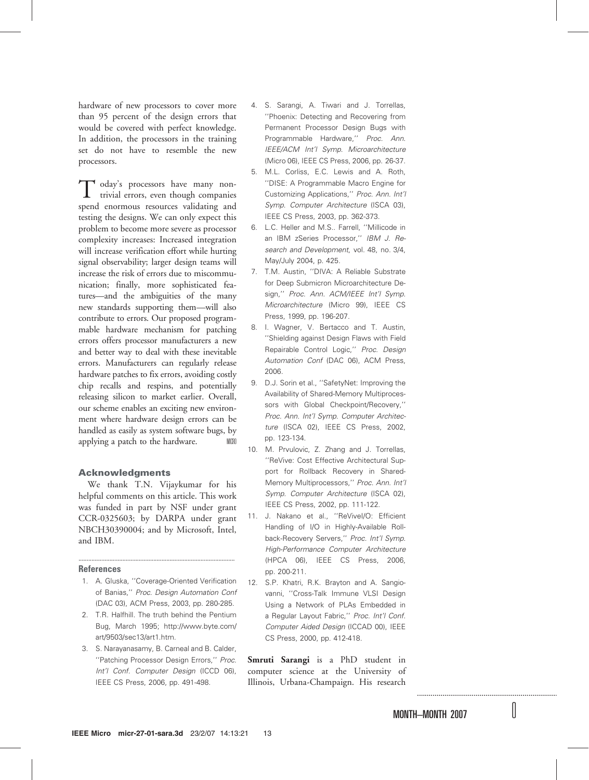hardware of new processors to cover more than 95 percent of the design errors that would be covered with perfect knowledge. In addition, the processors in the training set do not have to resemble the new processors.

T oday's processors have many non-trivial errors, even though companies spend enormous resources validating and testing the designs. We can only expect this problem to become more severe as processor complexity increases: Increased integration will increase verification effort while hurting signal observability; larger design teams will increase the risk of errors due to miscommunication; finally, more sophisticated features—and the ambiguities of the many new standards supporting them—will also contribute to errors. Our proposed programmable hardware mechanism for patching errors offers processor manufacturers a new and better way to deal with these inevitable errors. Manufacturers can regularly release hardware patches to fix errors, avoiding costly chip recalls and respins, and potentially releasing silicon to market earlier. Overall, our scheme enables an exciting new environment where hardware design errors can be handled as easily as system software bugs, by applying a patch to the hardware. MICRO

#### Acknowledgments

We thank T.N. Vijaykumar for his helpful comments on this article. This work was funded in part by NSF under grant CCR-0325603; by DARPA under grant NBCH30390004; and by Microsoft, Intel, and IBM.

#### **References**

1. A. Gluska, ''Coverage-Oriented Verification of Banias,'' Proc. Design Automation Conf (DAC 03), ACM Press, 2003, pp. 280-285.

................................................................................................

- 2. T.R. Halfhill. The truth behind the Pentium Bug, March 1995; http://www.byte.com/ art/9503/sec13/art1.htm.
- 3. S. Narayanasamy, B. Carneal and B. Calder, ''Patching Processor Design Errors,'' Proc. Int'l Conf. Computer Design (ICCD 06), IEEE CS Press, 2006, pp. 491-498.
- 4. S. Sarangi, A. Tiwari and J. Torrellas, ''Phoenix: Detecting and Recovering from Permanent Processor Design Bugs with Programmable Hardware,'' Proc. Ann. IEEE/ACM Int'l Symp. Microarchitecture (Micro 06), IEEE CS Press, 2006, pp. 26-37.
- 5. M.L. Corliss, E.C. Lewis and A. Roth, ''DISE: A Programmable Macro Engine for Customizing Applications,'' Proc. Ann. Int'l Symp. Computer Architecture (ISCA 03), IEEE CS Press, 2003, pp. 362-373.
- 6. L.C. Heller and M.S.. Farrell, ''Millicode in an IBM zSeries Processor,'' IBM J. Research and Development, vol. 48, no. 3/4, May/July 2004, p. 425.
- 7. T.M. Austin, ''DIVA: A Reliable Substrate for Deep Submicron Microarchitecture Design," Proc. Ann. ACM/IEEE Int'l Symp. Microarchitecture (Micro 99), IEEE CS Press, 1999, pp. 196-207.
- 8. I. Wagner, V. Bertacco and T. Austin, ''Shielding against Design Flaws with Field Repairable Control Logic,'' Proc. Design Automation Conf (DAC 06), ACM Press, 2006.
- 9. D.J. Sorin et al., ''SafetyNet: Improving the Availability of Shared-Memory Multiprocessors with Global Checkpoint/Recovery,'' Proc. Ann. Int'l Symp. Computer Architecture (ISCA 02), IEEE CS Press, 2002, pp. 123-134.
- 10. M. Prvulovic, Z. Zhang and J. Torrellas, ''ReVive: Cost Effective Architectural Support for Rollback Recovery in Shared-Memory Multiprocessors,'' Proc. Ann. Int'l Symp. Computer Architecture (ISCA 02), IEEE CS Press, 2002, pp. 111-122.
- 11. J. Nakano et al., ''ReViveI/O: Efficient Handling of I/O in Highly-Available Rollback-Recovery Servers,'' Proc. Int'l Symp. High-Performance Computer Architecture (HPCA 06), IEEE CS Press, 2006, pp. 200-211.
- 12. S.P. Khatri, R.K. Brayton and A. Sangiovanni, ''Cross-Talk Immune VLSI Design Using a Network of PLAs Embedded in a Regular Layout Fabric," Proc. Int'l Conf. Computer Aided Design (ICCAD 00), IEEE CS Press, 2000, pp. 412-418.

Smruti Sarangi is a PhD student in computer science at the University of Illinois, Urbana-Champaign. His research